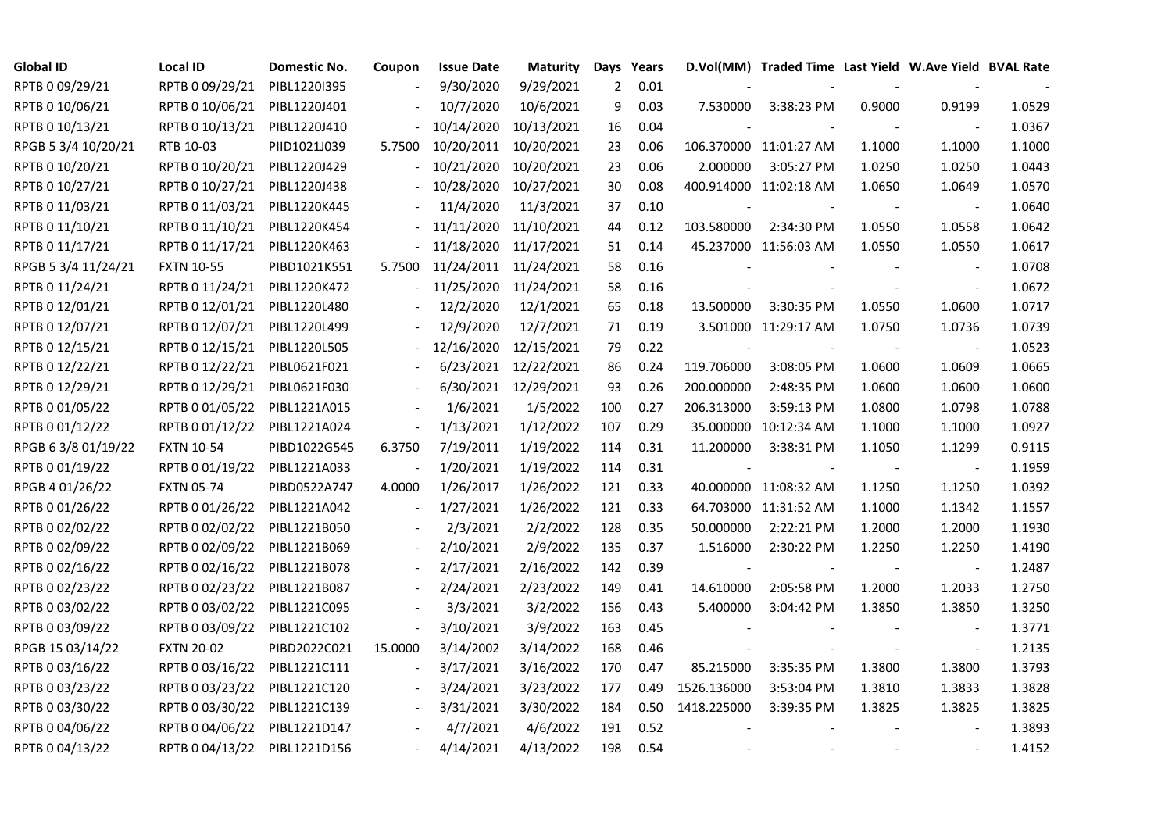| <b>Global ID</b>    | <b>Local ID</b>              | Domestic No. | Coupon                   | <b>Issue Date</b> | <b>Maturity</b> |     | Days Years |                          | D.Vol(MM) Traded Time Last Yield W.Ave Yield BVAL Rate |                          |                          |        |
|---------------------|------------------------------|--------------|--------------------------|-------------------|-----------------|-----|------------|--------------------------|--------------------------------------------------------|--------------------------|--------------------------|--------|
| RPTB 0 09/29/21     | RPTB 0 09/29/21              | PIBL1220I395 |                          | 9/30/2020         | 9/29/2021       | 2   | 0.01       |                          |                                                        |                          |                          |        |
| RPTB 0 10/06/21     | RPTB 0 10/06/21              | PIBL1220J401 |                          | 10/7/2020         | 10/6/2021       | 9   | 0.03       | 7.530000                 | 3:38:23 PM                                             | 0.9000                   | 0.9199                   | 1.0529 |
| RPTB 0 10/13/21     | RPTB 0 10/13/21              | PIBL1220J410 |                          | 10/14/2020        | 10/13/2021      | 16  | 0.04       |                          |                                                        |                          | $\blacksquare$           | 1.0367 |
| RPGB 5 3/4 10/20/21 | RTB 10-03                    | PIID1021J039 | 5.7500                   | 10/20/2011        | 10/20/2021      | 23  | 0.06       |                          | 106.370000 11:01:27 AM                                 | 1.1000                   | 1.1000                   | 1.1000 |
| RPTB 0 10/20/21     | RPTB 0 10/20/21              | PIBL1220J429 |                          | 10/21/2020        | 10/20/2021      | 23  | 0.06       | 2.000000                 | 3:05:27 PM                                             | 1.0250                   | 1.0250                   | 1.0443 |
| RPTB 0 10/27/21     | RPTB 0 10/27/21              | PIBL1220J438 |                          | 10/28/2020        | 10/27/2021      | 30  | 0.08       |                          | 400.914000 11:02:18 AM                                 | 1.0650                   | 1.0649                   | 1.0570 |
| RPTB 0 11/03/21     | RPTB 0 11/03/21              | PIBL1220K445 |                          | 11/4/2020         | 11/3/2021       | 37  | 0.10       | $\overline{\phantom{a}}$ |                                                        |                          | $\blacksquare$           | 1.0640 |
| RPTB 0 11/10/21     | RPTB 0 11/10/21              | PIBL1220K454 |                          | 11/11/2020        | 11/10/2021      | 44  | 0.12       | 103.580000               | 2:34:30 PM                                             | 1.0550                   | 1.0558                   | 1.0642 |
| RPTB 0 11/17/21     | RPTB 0 11/17/21              | PIBL1220K463 |                          | 11/18/2020        | 11/17/2021      | 51  | 0.14       |                          | 45.237000 11:56:03 AM                                  | 1.0550                   | 1.0550                   | 1.0617 |
| RPGB 5 3/4 11/24/21 | <b>FXTN 10-55</b>            | PIBD1021K551 | 5.7500                   | 11/24/2011        | 11/24/2021      | 58  | 0.16       |                          |                                                        |                          |                          | 1.0708 |
| RPTB 0 11/24/21     | RPTB 0 11/24/21              | PIBL1220K472 |                          | 11/25/2020        | 11/24/2021      | 58  | 0.16       |                          |                                                        |                          | $\blacksquare$           | 1.0672 |
| RPTB 0 12/01/21     | RPTB 0 12/01/21              | PIBL1220L480 |                          | 12/2/2020         | 12/1/2021       | 65  | 0.18       | 13.500000                | 3:30:35 PM                                             | 1.0550                   | 1.0600                   | 1.0717 |
| RPTB 0 12/07/21     | RPTB 0 12/07/21 PIBL1220L499 |              |                          | 12/9/2020         | 12/7/2021       | 71  | 0.19       |                          | 3.501000 11:29:17 AM                                   | 1.0750                   | 1.0736                   | 1.0739 |
| RPTB 0 12/15/21     | RPTB 0 12/15/21              | PIBL1220L505 |                          | 12/16/2020        | 12/15/2021      | 79  | 0.22       | $\overline{\phantom{a}}$ |                                                        |                          | $\blacksquare$           | 1.0523 |
| RPTB 0 12/22/21     | RPTB 0 12/22/21              | PIBL0621F021 |                          | 6/23/2021         | 12/22/2021      | 86  | 0.24       | 119.706000               | 3:08:05 PM                                             | 1.0600                   | 1.0609                   | 1.0665 |
| RPTB 0 12/29/21     | RPTB 0 12/29/21              | PIBL0621F030 |                          | 6/30/2021         | 12/29/2021      | 93  | 0.26       | 200.000000               | 2:48:35 PM                                             | 1.0600                   | 1.0600                   | 1.0600 |
| RPTB 0 01/05/22     | RPTB 0 01/05/22              | PIBL1221A015 |                          | 1/6/2021          | 1/5/2022        | 100 | 0.27       | 206.313000               | 3:59:13 PM                                             | 1.0800                   | 1.0798                   | 1.0788 |
| RPTB 0 01/12/22     | RPTB 0 01/12/22              | PIBL1221A024 | $\blacksquare$           | 1/13/2021         | 1/12/2022       | 107 | 0.29       |                          | 35.000000 10:12:34 AM                                  | 1.1000                   | 1.1000                   | 1.0927 |
| RPGB 63/8 01/19/22  | <b>FXTN 10-54</b>            | PIBD1022G545 | 6.3750                   | 7/19/2011         | 1/19/2022       | 114 | 0.31       | 11.200000                | 3:38:31 PM                                             | 1.1050                   | 1.1299                   | 0.9115 |
| RPTB 0 01/19/22     | RPTB 0 01/19/22              | PIBL1221A033 |                          | 1/20/2021         | 1/19/2022       | 114 | 0.31       |                          |                                                        | $\overline{\phantom{a}}$ | $\overline{\phantom{a}}$ | 1.1959 |
| RPGB 4 01/26/22     | <b>FXTN 05-74</b>            | PIBD0522A747 | 4.0000                   | 1/26/2017         | 1/26/2022       | 121 | 0.33       |                          | 40.000000 11:08:32 AM                                  | 1.1250                   | 1.1250                   | 1.0392 |
| RPTB 0 01/26/22     | RPTB 0 01/26/22              | PIBL1221A042 |                          | 1/27/2021         | 1/26/2022       | 121 | 0.33       |                          | 64.703000 11:31:52 AM                                  | 1.1000                   | 1.1342                   | 1.1557 |
| RPTB 0 02/02/22     | RPTB 0 02/02/22              | PIBL1221B050 |                          | 2/3/2021          | 2/2/2022        | 128 | 0.35       | 50.000000                | 2:22:21 PM                                             | 1.2000                   | 1.2000                   | 1.1930 |
| RPTB 0 02/09/22     | RPTB 0 02/09/22              | PIBL1221B069 |                          | 2/10/2021         | 2/9/2022        | 135 | 0.37       | 1.516000                 | 2:30:22 PM                                             | 1.2250                   | 1.2250                   | 1.4190 |
| RPTB 0 02/16/22     | RPTB 0 02/16/22              | PIBL1221B078 | $\overline{\phantom{a}}$ | 2/17/2021         | 2/16/2022       | 142 | 0.39       |                          |                                                        |                          | $\overline{\phantom{a}}$ | 1.2487 |
| RPTB 0 02/23/22     | RPTB 0 02/23/22              | PIBL1221B087 |                          | 2/24/2021         | 2/23/2022       | 149 | 0.41       | 14.610000                | 2:05:58 PM                                             | 1.2000                   | 1.2033                   | 1.2750 |
| RPTB 0 03/02/22     | RPTB 0 03/02/22              | PIBL1221C095 |                          | 3/3/2021          | 3/2/2022        | 156 | 0.43       | 5.400000                 | 3:04:42 PM                                             | 1.3850                   | 1.3850                   | 1.3250 |
| RPTB 0 03/09/22     | RPTB 0 03/09/22              | PIBL1221C102 | $\overline{\phantom{a}}$ | 3/10/2021         | 3/9/2022        | 163 | 0.45       |                          |                                                        |                          | $\blacksquare$           | 1.3771 |
| RPGB 15 03/14/22    | <b>FXTN 20-02</b>            | PIBD2022C021 | 15.0000                  | 3/14/2002         | 3/14/2022       | 168 | 0.46       |                          |                                                        |                          | $\overline{\phantom{a}}$ | 1.2135 |
| RPTB 0 03/16/22     | RPTB 0 03/16/22              | PIBL1221C111 |                          | 3/17/2021         | 3/16/2022       | 170 | 0.47       | 85.215000                | 3:35:35 PM                                             | 1.3800                   | 1.3800                   | 1.3793 |
| RPTB 0 03/23/22     | RPTB 0 03/23/22              | PIBL1221C120 |                          | 3/24/2021         | 3/23/2022       | 177 | 0.49       | 1526.136000              | 3:53:04 PM                                             | 1.3810                   | 1.3833                   | 1.3828 |
| RPTB 0 03/30/22     | RPTB 0 03/30/22              | PIBL1221C139 |                          | 3/31/2021         | 3/30/2022       | 184 | 0.50       | 1418.225000              | 3:39:35 PM                                             | 1.3825                   | 1.3825                   | 1.3825 |
| RPTB 0 04/06/22     | RPTB 0 04/06/22              | PIBL1221D147 |                          | 4/7/2021          | 4/6/2022        | 191 | 0.52       |                          |                                                        |                          |                          | 1.3893 |
| RPTB 0 04/13/22     | RPTB 0 04/13/22 PIBL1221D156 |              |                          | 4/14/2021         | 4/13/2022       | 198 | 0.54       |                          |                                                        |                          | $\blacksquare$           | 1.4152 |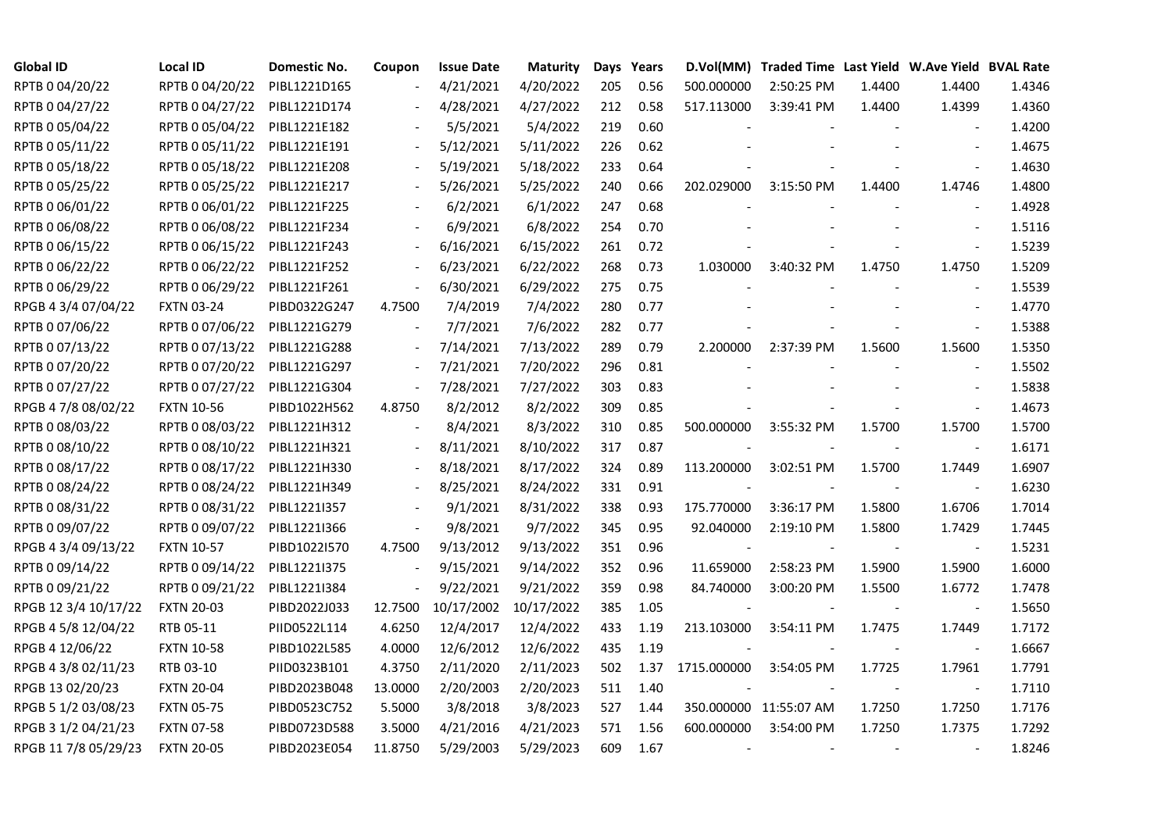| <b>Global ID</b>     | <b>Local ID</b>   | Domestic No. | Coupon                   | <b>Issue Date</b> | <b>Maturity</b> |     | Days Years |                          | D.Vol(MM) Traded Time Last Yield W.Ave Yield BVAL Rate |        |                          |        |
|----------------------|-------------------|--------------|--------------------------|-------------------|-----------------|-----|------------|--------------------------|--------------------------------------------------------|--------|--------------------------|--------|
| RPTB 0 04/20/22      | RPTB 0 04/20/22   | PIBL1221D165 |                          | 4/21/2021         | 4/20/2022       | 205 | 0.56       | 500.000000               | 2:50:25 PM                                             | 1.4400 | 1.4400                   | 1.4346 |
| RPTB 0 04/27/22      | RPTB 0 04/27/22   | PIBL1221D174 |                          | 4/28/2021         | 4/27/2022       | 212 | 0.58       | 517.113000               | 3:39:41 PM                                             | 1.4400 | 1.4399                   | 1.4360 |
| RPTB 0 05/04/22      | RPTB 0 05/04/22   | PIBL1221E182 |                          | 5/5/2021          | 5/4/2022        | 219 | 0.60       |                          |                                                        |        |                          | 1.4200 |
| RPTB 0 05/11/22      | RPTB 0 05/11/22   | PIBL1221E191 | $\blacksquare$           | 5/12/2021         | 5/11/2022       | 226 | 0.62       |                          |                                                        |        | $\overline{a}$           | 1.4675 |
| RPTB 0 05/18/22      | RPTB 0 05/18/22   | PIBL1221E208 |                          | 5/19/2021         | 5/18/2022       | 233 | 0.64       |                          |                                                        |        |                          | 1.4630 |
| RPTB 0 05/25/22      | RPTB 0 05/25/22   | PIBL1221E217 |                          | 5/26/2021         | 5/25/2022       | 240 | 0.66       | 202.029000               | 3:15:50 PM                                             | 1.4400 | 1.4746                   | 1.4800 |
| RPTB 0 06/01/22      | RPTB 0 06/01/22   | PIBL1221F225 |                          | 6/2/2021          | 6/1/2022        | 247 | 0.68       |                          |                                                        |        | $\overline{\phantom{a}}$ | 1.4928 |
| RPTB 0 06/08/22      | RPTB 0 06/08/22   | PIBL1221F234 |                          | 6/9/2021          | 6/8/2022        | 254 | 0.70       |                          |                                                        |        |                          | 1.5116 |
| RPTB 0 06/15/22      | RPTB 0 06/15/22   | PIBL1221F243 |                          | 6/16/2021         | 6/15/2022       | 261 | 0.72       |                          |                                                        |        |                          | 1.5239 |
| RPTB 0 06/22/22      | RPTB 0 06/22/22   | PIBL1221F252 | $\overline{\phantom{a}}$ | 6/23/2021         | 6/22/2022       | 268 | 0.73       | 1.030000                 | 3:40:32 PM                                             | 1.4750 | 1.4750                   | 1.5209 |
| RPTB 0 06/29/22      | RPTB 0 06/29/22   | PIBL1221F261 | $\blacksquare$           | 6/30/2021         | 6/29/2022       | 275 | 0.75       |                          |                                                        |        | $\sim$                   | 1.5539 |
| RPGB 4 3/4 07/04/22  | <b>FXTN 03-24</b> | PIBD0322G247 | 4.7500                   | 7/4/2019          | 7/4/2022        | 280 | 0.77       |                          |                                                        |        |                          | 1.4770 |
| RPTB 0 07/06/22      | RPTB 0 07/06/22   | PIBL1221G279 | $\blacksquare$           | 7/7/2021          | 7/6/2022        | 282 | 0.77       |                          |                                                        |        | $\blacksquare$           | 1.5388 |
| RPTB 0 07/13/22      | RPTB 0 07/13/22   | PIBL1221G288 | $\overline{\phantom{a}}$ | 7/14/2021         | 7/13/2022       | 289 | 0.79       | 2.200000                 | 2:37:39 PM                                             | 1.5600 | 1.5600                   | 1.5350 |
| RPTB 0 07/20/22      | RPTB 0 07/20/22   | PIBL1221G297 |                          | 7/21/2021         | 7/20/2022       | 296 | 0.81       |                          |                                                        |        |                          | 1.5502 |
| RPTB 0 07/27/22      | RPTB 0 07/27/22   | PIBL1221G304 | $\overline{\phantom{a}}$ | 7/28/2021         | 7/27/2022       | 303 | 0.83       |                          |                                                        |        |                          | 1.5838 |
| RPGB 4 7/8 08/02/22  | <b>FXTN 10-56</b> | PIBD1022H562 | 4.8750                   | 8/2/2012          | 8/2/2022        | 309 | 0.85       |                          |                                                        |        | $\overline{\phantom{a}}$ | 1.4673 |
| RPTB 0 08/03/22      | RPTB 0 08/03/22   | PIBL1221H312 | $\blacksquare$           | 8/4/2021          | 8/3/2022        | 310 | 0.85       | 500.000000               | 3:55:32 PM                                             | 1.5700 | 1.5700                   | 1.5700 |
| RPTB 0 08/10/22      | RPTB 0 08/10/22   | PIBL1221H321 | $\blacksquare$           | 8/11/2021         | 8/10/2022       | 317 | 0.87       |                          |                                                        |        | $\blacksquare$           | 1.6171 |
| RPTB 0 08/17/22      | RPTB 0 08/17/22   | PIBL1221H330 |                          | 8/18/2021         | 8/17/2022       | 324 | 0.89       | 113.200000               | 3:02:51 PM                                             | 1.5700 | 1.7449                   | 1.6907 |
| RPTB 0 08/24/22      | RPTB 0 08/24/22   | PIBL1221H349 | $\blacksquare$           | 8/25/2021         | 8/24/2022       | 331 | 0.91       |                          |                                                        |        | $\overline{\phantom{a}}$ | 1.6230 |
| RPTB 0 08/31/22      | RPTB 0 08/31/22   | PIBL1221I357 |                          | 9/1/2021          | 8/31/2022       | 338 | 0.93       | 175.770000               | 3:36:17 PM                                             | 1.5800 | 1.6706                   | 1.7014 |
| RPTB 0 09/07/22      | RPTB 0 09/07/22   | PIBL1221I366 |                          | 9/8/2021          | 9/7/2022        | 345 | 0.95       | 92.040000                | 2:19:10 PM                                             | 1.5800 | 1.7429                   | 1.7445 |
| RPGB 4 3/4 09/13/22  | <b>FXTN 10-57</b> | PIBD1022I570 | 4.7500                   | 9/13/2012         | 9/13/2022       | 351 | 0.96       |                          |                                                        |        |                          | 1.5231 |
| RPTB 0 09/14/22      | RPTB 0 09/14/22   | PIBL1221I375 | $\blacksquare$           | 9/15/2021         | 9/14/2022       | 352 | 0.96       | 11.659000                | 2:58:23 PM                                             | 1.5900 | 1.5900                   | 1.6000 |
| RPTB 0 09/21/22      | RPTB 0 09/21/22   | PIBL1221I384 | $\blacksquare$           | 9/22/2021         | 9/21/2022       | 359 | 0.98       | 84.740000                | 3:00:20 PM                                             | 1.5500 | 1.6772                   | 1.7478 |
| RPGB 12 3/4 10/17/22 | <b>FXTN 20-03</b> | PIBD2022J033 | 12.7500                  | 10/17/2002        | 10/17/2022      | 385 | 1.05       |                          |                                                        |        | $\blacksquare$           | 1.5650 |
| RPGB 4 5/8 12/04/22  | RTB 05-11         | PIID0522L114 | 4.6250                   | 12/4/2017         | 12/4/2022       | 433 | 1.19       | 213.103000               | 3:54:11 PM                                             | 1.7475 | 1.7449                   | 1.7172 |
| RPGB 4 12/06/22      | <b>FXTN 10-58</b> | PIBD1022L585 | 4.0000                   | 12/6/2012         | 12/6/2022       | 435 | 1.19       |                          |                                                        |        | $\overline{\phantom{a}}$ | 1.6667 |
| RPGB 4 3/8 02/11/23  | RTB 03-10         | PIID0323B101 | 4.3750                   | 2/11/2020         | 2/11/2023       | 502 | 1.37       | 1715.000000              | 3:54:05 PM                                             | 1.7725 | 1.7961                   | 1.7791 |
| RPGB 13 02/20/23     | <b>FXTN 20-04</b> | PIBD2023B048 | 13.0000                  | 2/20/2003         | 2/20/2023       | 511 | 1.40       |                          |                                                        |        | $\overline{\phantom{a}}$ | 1.7110 |
| RPGB 5 1/2 03/08/23  | <b>FXTN 05-75</b> | PIBD0523C752 | 5.5000                   | 3/8/2018          | 3/8/2023        | 527 | 1.44       |                          | 350.000000 11:55:07 AM                                 | 1.7250 | 1.7250                   | 1.7176 |
| RPGB 3 1/2 04/21/23  | <b>FXTN 07-58</b> | PIBD0723D588 | 3.5000                   | 4/21/2016         | 4/21/2023       | 571 | 1.56       | 600.000000               | 3:54:00 PM                                             | 1.7250 | 1.7375                   | 1.7292 |
| RPGB 11 7/8 05/29/23 | <b>FXTN 20-05</b> | PIBD2023E054 | 11.8750                  | 5/29/2003         | 5/29/2023       | 609 | 1.67       | $\overline{\phantom{a}}$ |                                                        |        |                          | 1.8246 |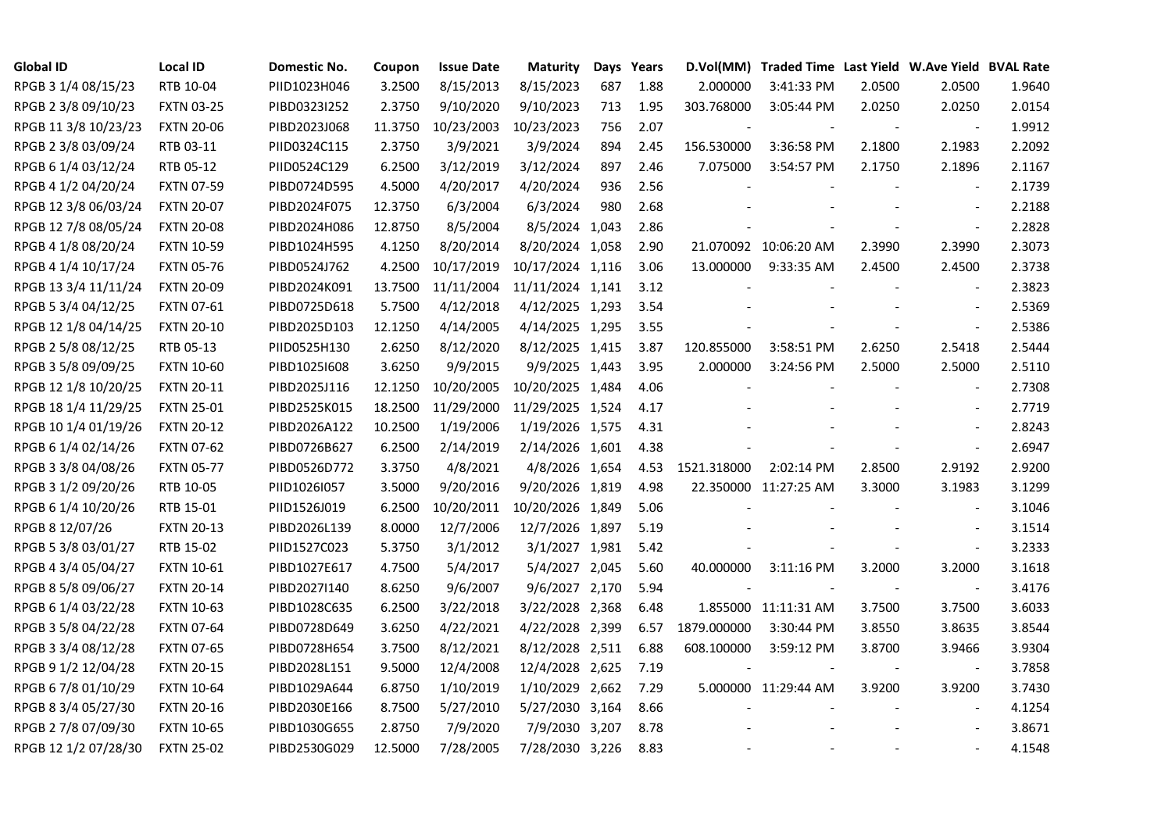| <b>Global ID</b>     | <b>Local ID</b>   | Domestic No. | Coupon  | <b>Issue Date</b> | <b>Maturity</b>  |     | Days Years |             | D.Vol(MM) Traded Time Last Yield W.Ave Yield BVAL Rate |                |                          |        |
|----------------------|-------------------|--------------|---------|-------------------|------------------|-----|------------|-------------|--------------------------------------------------------|----------------|--------------------------|--------|
| RPGB 3 1/4 08/15/23  | RTB 10-04         | PIID1023H046 | 3.2500  | 8/15/2013         | 8/15/2023        | 687 | 1.88       | 2.000000    | 3:41:33 PM                                             | 2.0500         | 2.0500                   | 1.9640 |
| RPGB 2 3/8 09/10/23  | <b>FXTN 03-25</b> | PIBD0323I252 | 2.3750  | 9/10/2020         | 9/10/2023        | 713 | 1.95       | 303.768000  | 3:05:44 PM                                             | 2.0250         | 2.0250                   | 2.0154 |
| RPGB 11 3/8 10/23/23 | <b>FXTN 20-06</b> | PIBD2023J068 | 11.3750 | 10/23/2003        | 10/23/2023       | 756 | 2.07       |             |                                                        | $\blacksquare$ | $\overline{\phantom{a}}$ | 1.9912 |
| RPGB 2 3/8 03/09/24  | RTB 03-11         | PIID0324C115 | 2.3750  | 3/9/2021          | 3/9/2024         | 894 | 2.45       | 156.530000  | 3:36:58 PM                                             | 2.1800         | 2.1983                   | 2.2092 |
| RPGB 6 1/4 03/12/24  | RTB 05-12         | PIID0524C129 | 6.2500  | 3/12/2019         | 3/12/2024        | 897 | 2.46       | 7.075000    | 3:54:57 PM                                             | 2.1750         | 2.1896                   | 2.1167 |
| RPGB 4 1/2 04/20/24  | <b>FXTN 07-59</b> | PIBD0724D595 | 4.5000  | 4/20/2017         | 4/20/2024        | 936 | 2.56       |             |                                                        |                | $\blacksquare$           | 2.1739 |
| RPGB 12 3/8 06/03/24 | <b>FXTN 20-07</b> | PIBD2024F075 | 12.3750 | 6/3/2004          | 6/3/2024         | 980 | 2.68       |             |                                                        |                | $\sim$                   | 2.2188 |
| RPGB 12 7/8 08/05/24 | <b>FXTN 20-08</b> | PIBD2024H086 | 12.8750 | 8/5/2004          | 8/5/2024 1,043   |     | 2.86       |             |                                                        |                | $\blacksquare$           | 2.2828 |
| RPGB 4 1/8 08/20/24  | <b>FXTN 10-59</b> | PIBD1024H595 | 4.1250  | 8/20/2014         | 8/20/2024 1,058  |     | 2.90       |             | 21.070092 10:06:20 AM                                  | 2.3990         | 2.3990                   | 2.3073 |
| RPGB 4 1/4 10/17/24  | <b>FXTN 05-76</b> | PIBD0524J762 | 4.2500  | 10/17/2019        | 10/17/2024 1,116 |     | 3.06       | 13.000000   | 9:33:35 AM                                             | 2.4500         | 2.4500                   | 2.3738 |
| RPGB 13 3/4 11/11/24 | <b>FXTN 20-09</b> | PIBD2024K091 | 13.7500 | 11/11/2004        | 11/11/2024 1,141 |     | 3.12       |             |                                                        |                | $\bar{\phantom{a}}$      | 2.3823 |
| RPGB 5 3/4 04/12/25  | <b>FXTN 07-61</b> | PIBD0725D618 | 5.7500  | 4/12/2018         | 4/12/2025 1,293  |     | 3.54       |             |                                                        |                | $\sim$                   | 2.5369 |
| RPGB 12 1/8 04/14/25 | <b>FXTN 20-10</b> | PIBD2025D103 | 12.1250 | 4/14/2005         | 4/14/2025 1,295  |     | 3.55       |             |                                                        |                | $\blacksquare$           | 2.5386 |
| RPGB 2 5/8 08/12/25  | RTB 05-13         | PIID0525H130 | 2.6250  | 8/12/2020         | 8/12/2025 1,415  |     | 3.87       | 120.855000  | 3:58:51 PM                                             | 2.6250         | 2.5418                   | 2.5444 |
| RPGB 3 5/8 09/09/25  | <b>FXTN 10-60</b> | PIBD10251608 | 3.6250  | 9/9/2015          | 9/9/2025 1,443   |     | 3.95       | 2.000000    | 3:24:56 PM                                             | 2.5000         | 2.5000                   | 2.5110 |
| RPGB 12 1/8 10/20/25 | <b>FXTN 20-11</b> | PIBD2025J116 | 12.1250 | 10/20/2005        | 10/20/2025 1,484 |     | 4.06       |             |                                                        |                |                          | 2.7308 |
| RPGB 18 1/4 11/29/25 | <b>FXTN 25-01</b> | PIBD2525K015 | 18.2500 | 11/29/2000        | 11/29/2025 1,524 |     | 4.17       |             |                                                        |                | $\blacksquare$           | 2.7719 |
| RPGB 10 1/4 01/19/26 | <b>FXTN 20-12</b> | PIBD2026A122 | 10.2500 | 1/19/2006         | 1/19/2026 1,575  |     | 4.31       |             |                                                        |                | $\sim$                   | 2.8243 |
| RPGB 6 1/4 02/14/26  | <b>FXTN 07-62</b> | PIBD0726B627 | 6.2500  | 2/14/2019         | 2/14/2026 1,601  |     | 4.38       |             |                                                        |                | $\blacksquare$           | 2.6947 |
| RPGB 3 3/8 04/08/26  | <b>FXTN 05-77</b> | PIBD0526D772 | 3.3750  | 4/8/2021          | 4/8/2026 1,654   |     | 4.53       | 1521.318000 | 2:02:14 PM                                             | 2.8500         | 2.9192                   | 2.9200 |
| RPGB 3 1/2 09/20/26  | RTB 10-05         | PIID1026I057 | 3.5000  | 9/20/2016         | 9/20/2026 1,819  |     | 4.98       |             | 22.350000 11:27:25 AM                                  | 3.3000         | 3.1983                   | 3.1299 |
| RPGB 6 1/4 10/20/26  | RTB 15-01         | PIID1526J019 | 6.2500  | 10/20/2011        | 10/20/2026 1,849 |     | 5.06       |             |                                                        |                | $\sim$                   | 3.1046 |
| RPGB 8 12/07/26      | <b>FXTN 20-13</b> | PIBD2026L139 | 8.0000  | 12/7/2006         | 12/7/2026 1,897  |     | 5.19       |             |                                                        |                |                          | 3.1514 |
| RPGB 5 3/8 03/01/27  | RTB 15-02         | PIID1527C023 | 5.3750  | 3/1/2012          | 3/1/2027 1,981   |     | 5.42       |             |                                                        |                | $\blacksquare$           | 3.2333 |
| RPGB 4 3/4 05/04/27  | <b>FXTN 10-61</b> | PIBD1027E617 | 4.7500  | 5/4/2017          | 5/4/2027 2,045   |     | 5.60       | 40.000000   | 3:11:16 PM                                             | 3.2000         | 3.2000                   | 3.1618 |
| RPGB 8 5/8 09/06/27  | <b>FXTN 20-14</b> | PIBD2027I140 | 8.6250  | 9/6/2007          | 9/6/2027 2,170   |     | 5.94       |             |                                                        |                | $\blacksquare$           | 3.4176 |
| RPGB 6 1/4 03/22/28  | <b>FXTN 10-63</b> | PIBD1028C635 | 6.2500  | 3/22/2018         | 3/22/2028 2,368  |     | 6.48       |             | 1.855000 11:11:31 AM                                   | 3.7500         | 3.7500                   | 3.6033 |
| RPGB 3 5/8 04/22/28  | <b>FXTN 07-64</b> | PIBD0728D649 | 3.6250  | 4/22/2021         | 4/22/2028 2,399  |     | 6.57       | 1879.000000 | 3:30:44 PM                                             | 3.8550         | 3.8635                   | 3.8544 |
| RPGB 3 3/4 08/12/28  | <b>FXTN 07-65</b> | PIBD0728H654 | 3.7500  | 8/12/2021         | 8/12/2028 2,511  |     | 6.88       | 608.100000  | 3:59:12 PM                                             | 3.8700         | 3.9466                   | 3.9304 |
| RPGB 9 1/2 12/04/28  | <b>FXTN 20-15</b> | PIBD2028L151 | 9.5000  | 12/4/2008         | 12/4/2028 2,625  |     | 7.19       |             |                                                        |                |                          | 3.7858 |
| RPGB 67/8 01/10/29   | <b>FXTN 10-64</b> | PIBD1029A644 | 6.8750  | 1/10/2019         | 1/10/2029 2,662  |     | 7.29       |             | 5.000000 11:29:44 AM                                   | 3.9200         | 3.9200                   | 3.7430 |
| RPGB 8 3/4 05/27/30  | <b>FXTN 20-16</b> | PIBD2030E166 | 8.7500  | 5/27/2010         | 5/27/2030 3,164  |     | 8.66       |             |                                                        |                | $\blacksquare$           | 4.1254 |
| RPGB 2 7/8 07/09/30  | <b>FXTN 10-65</b> | PIBD1030G655 | 2.8750  | 7/9/2020          | 7/9/2030 3,207   |     | 8.78       |             |                                                        |                | $\sim$                   | 3.8671 |
| RPGB 12 1/2 07/28/30 | <b>FXTN 25-02</b> | PIBD2530G029 | 12.5000 | 7/28/2005         | 7/28/2030 3,226  |     | 8.83       |             |                                                        |                | $\sim$                   | 4.1548 |